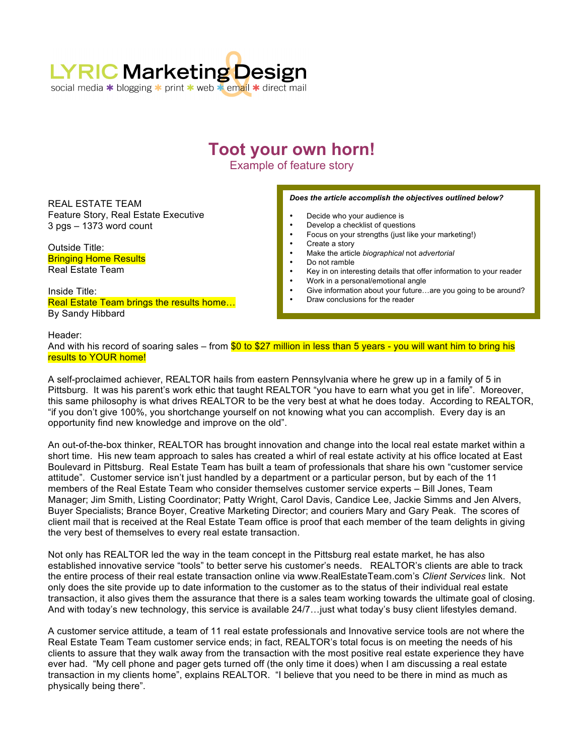

## **Toot your own horn!**

Example of feature story

REAL ESTATE TEAM Feature Story, Real Estate Executive 3 pgs – 1373 word count

Outside Title: Bringing Home Results Real Estate Team

Inside Title: Real Estate Team brings the results home… By Sandy Hibbard

## *Does the article accomplish the objectives outlined below?*

- Decide who your audience is
- Develop a checklist of questions
- Focus on your strengths (just like your marketing!)
- Create a story
- Make the article *biographical* not *advertorial*
- Do not ramble
- Key in on interesting details that offer information to your reader
- Work in a personal/emotional angle
- Give information about your future...are you going to be around?
- Draw conclusions for the reader

Header: And with his record of soaring sales – from \$0 to \$27 million in less than 5 years - you will want him to bring his results to YOUR home!

A self-proclaimed achiever, REALTOR hails from eastern Pennsylvania where he grew up in a family of 5 in Pittsburg. It was his parent's work ethic that taught REALTOR "you have to earn what you get in life". Moreover, this same philosophy is what drives REALTOR to be the very best at what he does today. According to REALTOR, "if you don't give 100%, you shortchange yourself on not knowing what you can accomplish. Every day is an opportunity find new knowledge and improve on the old".

An out-of-the-box thinker, REALTOR has brought innovation and change into the local real estate market within a short time. His new team approach to sales has created a whirl of real estate activity at his office located at East Boulevard in Pittsburg. Real Estate Team has built a team of professionals that share his own "customer service attitude". Customer service isn't just handled by a department or a particular person, but by each of the 11 members of the Real Estate Team who consider themselves customer service experts – Bill Jones, Team Manager; Jim Smith, Listing Coordinator; Patty Wright, Carol Davis, Candice Lee, Jackie Simms and Jen Alvers, Buyer Specialists; Brance Boyer, Creative Marketing Director; and couriers Mary and Gary Peak. The scores of client mail that is received at the Real Estate Team office is proof that each member of the team delights in giving the very best of themselves to every real estate transaction.

Not only has REALTOR led the way in the team concept in the Pittsburg real estate market, he has also established innovative service "tools" to better serve his customer's needs. REALTOR's clients are able to track the entire process of their real estate transaction online via www.RealEstateTeam.com's *Client Services* link. Not only does the site provide up to date information to the customer as to the status of their individual real estate transaction, it also gives them the assurance that there is a sales team working towards the ultimate goal of closing. And with today's new technology, this service is available 24/7…just what today's busy client lifestyles demand.

A customer service attitude, a team of 11 real estate professionals and Innovative service tools are not where the Real Estate Team Team customer service ends; in fact, REALTOR's total focus is on meeting the needs of his clients to assure that they walk away from the transaction with the most positive real estate experience they have ever had. "My cell phone and pager gets turned off (the only time it does) when I am discussing a real estate transaction in my clients home", explains REALTOR. "I believe that you need to be there in mind as much as physically being there".